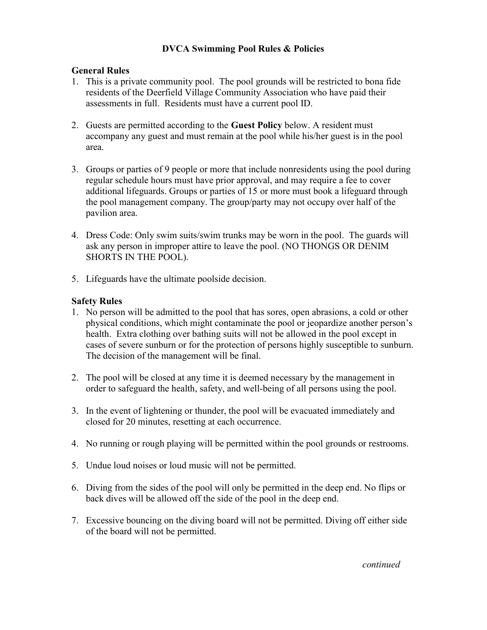## DVCA Swimming Pool Rules & Policies

## General Rules

- 1. This is a private community pool. The pool grounds will be restricted to bona fide residents of the Deerfield Village Community Association who have paid their assessments in full. Residents must have a current pool ID.
- 2. Guests are permitted according to the Guest Policy below. A resident must accompany any guest and must remain at the pool while his/her guest is in the pool area.
- 3. Groups or parties of 9 people or more that include nonresidents using the pool during regular schedule hours must have prior approval, and may require a fee to cover additional lifeguards. Groups or parties of 15 or more must book a lifeguard through the pool management company. The group/party may not occupy over half of the pavilion area.
- 4. Dress Code: Only swim suits/swim trunks may be worn in the pool. The guards will ask any person in improper attire to leave the pool. (NO THONGS OR DENIM SHORTS IN THE POOL).
- 5. Lifeguards have the ultimate poolside decision.

## Safety Rules

- 1. No person will be admitted to the pool that has sores, open abrasions, a cold or other physical conditions, which might contaminate the pool or jeopardize another person's health. Extra clothing over bathing suits will not be allowed in the pool except in cases of severe sunburn or for the protection of persons highly susceptible to sunburn. The decision of the management will be final.
- 2. The pool will be closed at any time it is deemed necessary by the management in order to safeguard the health, safety, and well-being of all persons using the pool.
- 3. In the event of lightening or thunder, the pool will be evacuated immediately and closed for 20 minutes, resetting at each occurrence.
- 4. No running or rough playing will be permitted within the pool grounds or restrooms.
- 5. Undue loud noises or loud music will not be permitted.
- 6. Diving from the sides of the pool will only be permitted in the deep end. No flips or back dives will be allowed off the side of the pool in the deep end.
- 7. Excessive bouncing on the diving board will not be permitted. Diving off either side of the board will not be permitted.